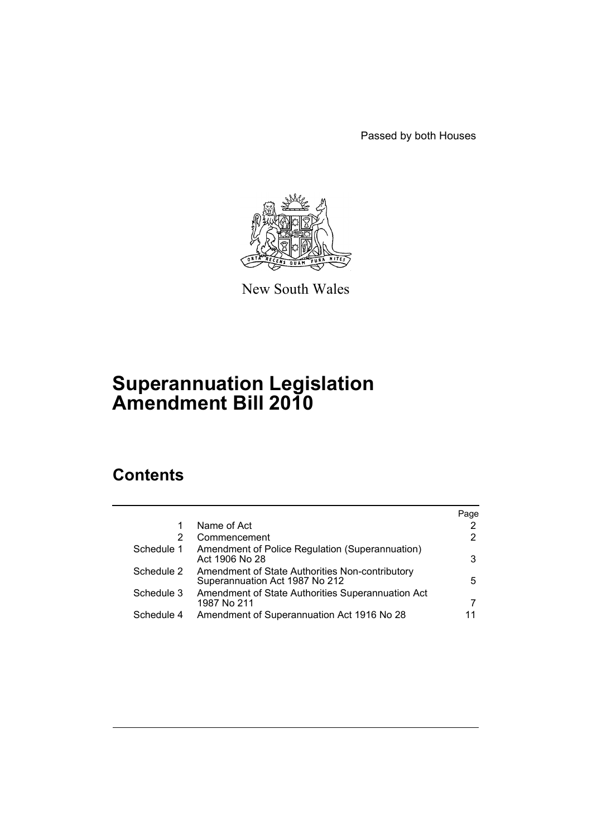Passed by both Houses



New South Wales

# **Superannuation Legislation Amendment Bill 2010**

# **Contents**

|            |                                                                                   | Page |
|------------|-----------------------------------------------------------------------------------|------|
|            | Name of Act                                                                       |      |
| 2          | Commencement                                                                      | 2    |
| Schedule 1 | Amendment of Police Regulation (Superannuation)<br>Act 1906 No 28                 | 3    |
| Schedule 2 | Amendment of State Authorities Non-contributory<br>Superannuation Act 1987 No 212 | 5.   |
| Schedule 3 | Amendment of State Authorities Superannuation Act<br>1987 No 211                  | 7    |
| Schedule 4 | Amendment of Superannuation Act 1916 No 28                                        |      |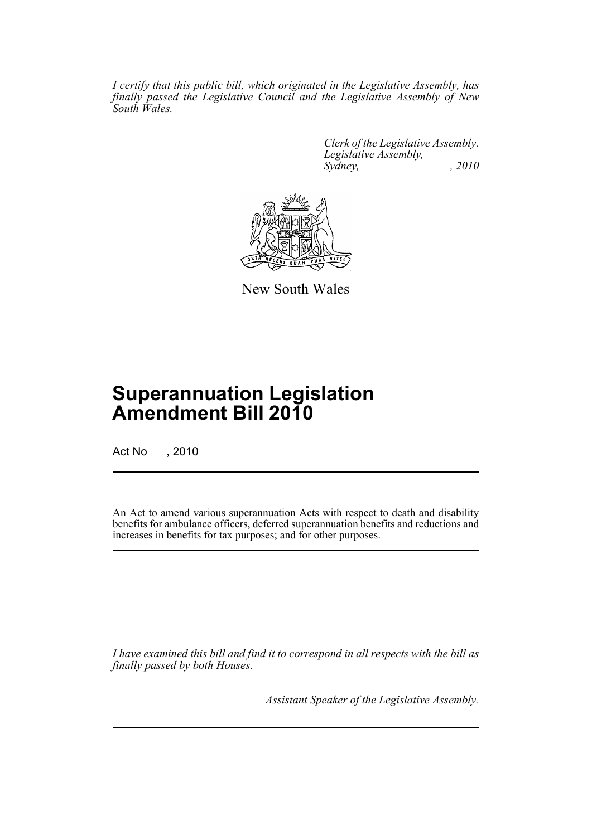*I certify that this public bill, which originated in the Legislative Assembly, has finally passed the Legislative Council and the Legislative Assembly of New South Wales.*

> *Clerk of the Legislative Assembly. Legislative Assembly, Sydney, , 2010*



New South Wales

# **Superannuation Legislation Amendment Bill 2010**

Act No , 2010

An Act to amend various superannuation Acts with respect to death and disability benefits for ambulance officers, deferred superannuation benefits and reductions and increases in benefits for tax purposes; and for other purposes.

*I have examined this bill and find it to correspond in all respects with the bill as finally passed by both Houses.*

*Assistant Speaker of the Legislative Assembly.*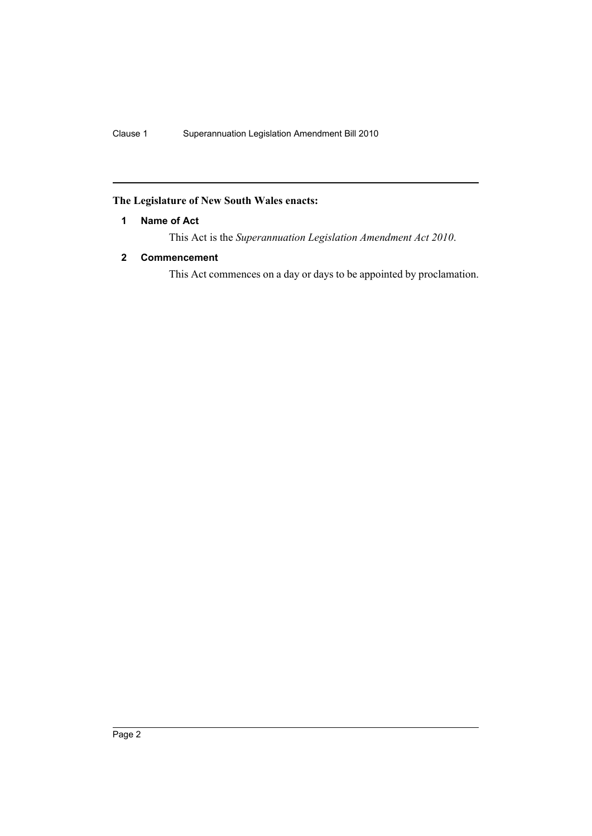# <span id="page-2-0"></span>**The Legislature of New South Wales enacts:**

# **1 Name of Act**

This Act is the *Superannuation Legislation Amendment Act 2010*.

# <span id="page-2-1"></span>**2 Commencement**

This Act commences on a day or days to be appointed by proclamation.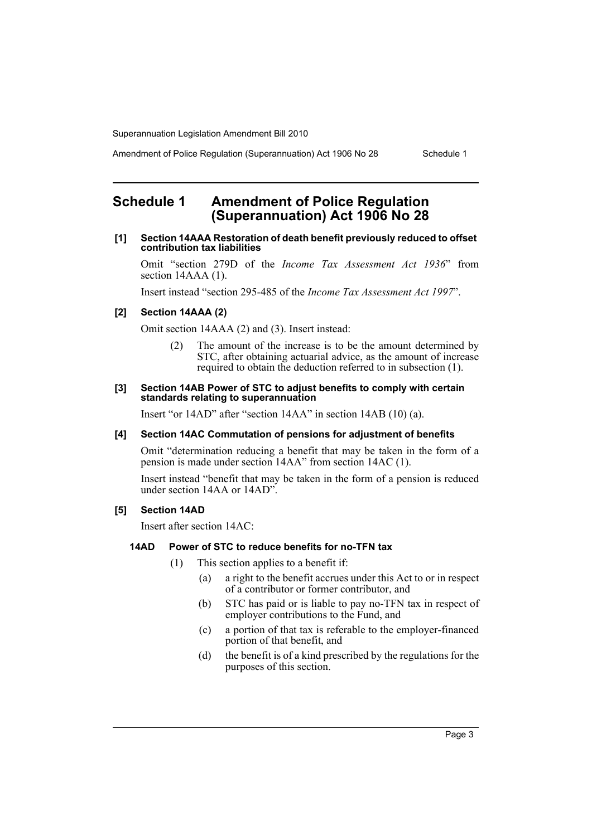Amendment of Police Regulation (Superannuation) Act 1906 No 28 Schedule 1

# <span id="page-3-0"></span>**Schedule 1 Amendment of Police Regulation (Superannuation) Act 1906 No 28**

## **[1] Section 14AAA Restoration of death benefit previously reduced to offset contribution tax liabilities**

Omit "section 279D of the *Income Tax Assessment Act 1936*" from section 14AAA (1).

Insert instead "section 295-485 of the *Income Tax Assessment Act 1997*".

# **[2] Section 14AAA (2)**

Omit section 14AAA (2) and (3). Insert instead:

(2) The amount of the increase is to be the amount determined by STC, after obtaining actuarial advice, as the amount of increase required to obtain the deduction referred to in subsection (1).

#### **[3] Section 14AB Power of STC to adjust benefits to comply with certain standards relating to superannuation**

Insert "or 14AD" after "section 14AA" in section 14AB (10) (a).

## **[4] Section 14AC Commutation of pensions for adjustment of benefits**

Omit "determination reducing a benefit that may be taken in the form of a pension is made under section 14AA" from section 14AC (1).

Insert instead "benefit that may be taken in the form of a pension is reduced under section 14AA or 14AD".

## **[5] Section 14AD**

Insert after section 14AC:

### **14AD Power of STC to reduce benefits for no-TFN tax**

- (1) This section applies to a benefit if:
	- (a) a right to the benefit accrues under this Act to or in respect of a contributor or former contributor, and
	- (b) STC has paid or is liable to pay no-TFN tax in respect of employer contributions to the Fund, and
	- (c) a portion of that tax is referable to the employer-financed portion of that benefit, and
	- (d) the benefit is of a kind prescribed by the regulations for the purposes of this section.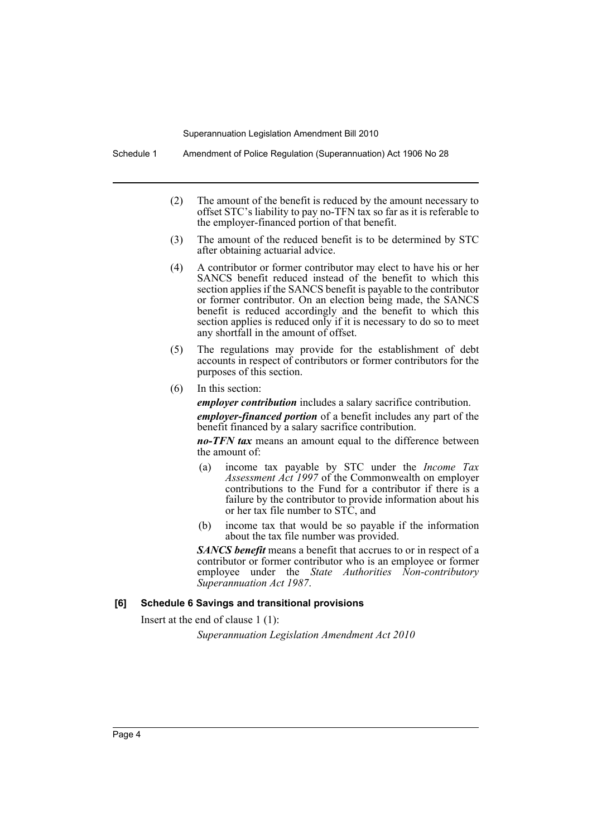Schedule 1 Amendment of Police Regulation (Superannuation) Act 1906 No 28

- (2) The amount of the benefit is reduced by the amount necessary to offset STC's liability to pay no-TFN tax so far as it is referable to the employer-financed portion of that benefit.
- (3) The amount of the reduced benefit is to be determined by STC after obtaining actuarial advice.
- (4) A contributor or former contributor may elect to have his or her SANCS benefit reduced instead of the benefit to which this section applies if the SANCS benefit is payable to the contributor or former contributor. On an election being made, the SANCS benefit is reduced accordingly and the benefit to which this section applies is reduced only if it is necessary to do so to meet any shortfall in the amount of offset.
- (5) The regulations may provide for the establishment of debt accounts in respect of contributors or former contributors for the purposes of this section.
- (6) In this section:

*employer contribution* includes a salary sacrifice contribution.

*employer-financed portion* of a benefit includes any part of the benefit financed by a salary sacrifice contribution.

*no-TFN tax* means an amount equal to the difference between the amount of:

- (a) income tax payable by STC under the *Income Tax Assessment Act 1997* of the Commonwealth on employer contributions to the Fund for a contributor if there is a failure by the contributor to provide information about his or her tax file number to STC, and
- (b) income tax that would be so payable if the information about the tax file number was provided.

*SANCS benefit* means a benefit that accrues to or in respect of a contributor or former contributor who is an employee or former employee under the *State Authorities Non-contributory Superannuation Act 1987*.

### **[6] Schedule 6 Savings and transitional provisions**

Insert at the end of clause 1 (1):

*Superannuation Legislation Amendment Act 2010*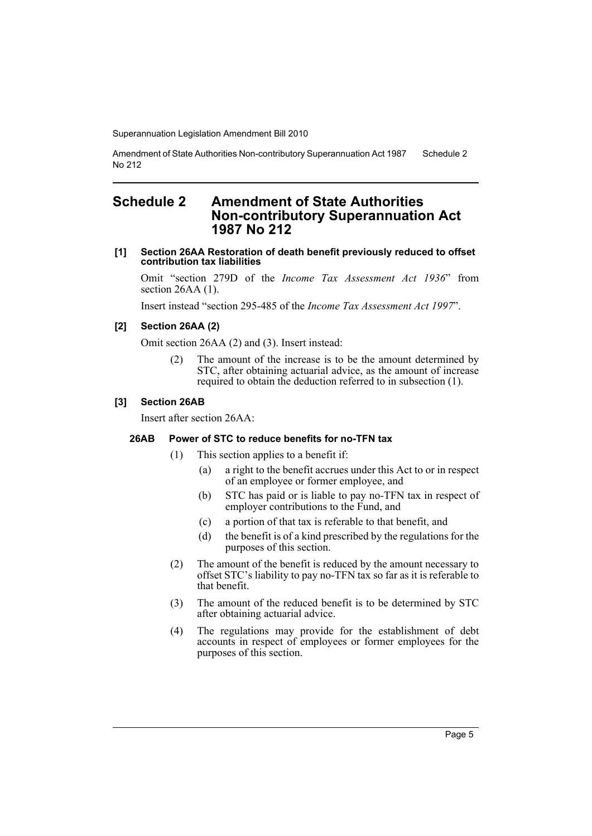Amendment of State Authorities Non-contributory Superannuation Act 1987 No 212 Schedule 2

# <span id="page-5-0"></span>**Schedule 2 Amendment of State Authorities Non-contributory Superannuation Act 1987 No 212**

### **[1] Section 26AA Restoration of death benefit previously reduced to offset contribution tax liabilities**

Omit "section 279D of the *Income Tax Assessment Act 1936*" from section 26AA (1).

Insert instead "section 295-485 of the *Income Tax Assessment Act 1997*".

### **[2] Section 26AA (2)**

Omit section 26AA (2) and (3). Insert instead:

(2) The amount of the increase is to be the amount determined by STC, after obtaining actuarial advice, as the amount of increase required to obtain the deduction referred to in subsection (1).

## **[3] Section 26AB**

Insert after section 26AA:

#### **26AB Power of STC to reduce benefits for no-TFN tax**

- (1) This section applies to a benefit if:
	- (a) a right to the benefit accrues under this Act to or in respect of an employee or former employee, and
	- (b) STC has paid or is liable to pay no-TFN tax in respect of employer contributions to the Fund, and
	- (c) a portion of that tax is referable to that benefit, and
	- (d) the benefit is of a kind prescribed by the regulations for the purposes of this section.
- (2) The amount of the benefit is reduced by the amount necessary to offset STC's liability to pay no-TFN tax so far as it is referable to that benefit.
- (3) The amount of the reduced benefit is to be determined by STC after obtaining actuarial advice.
- (4) The regulations may provide for the establishment of debt accounts in respect of employees or former employees for the purposes of this section.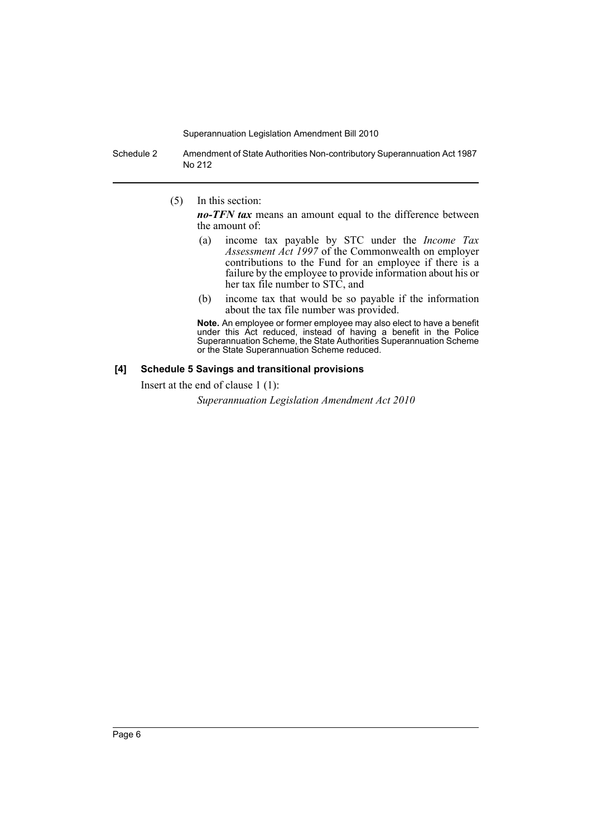Schedule 2 Amendment of State Authorities Non-contributory Superannuation Act 1987 No 212

(5) In this section:

*no-TFN tax* means an amount equal to the difference between the amount of:

- (a) income tax payable by STC under the *Income Tax Assessment Act 1997* of the Commonwealth on employer contributions to the Fund for an employee if there is a failure by the employee to provide information about his or her tax file number to STC, and
- (b) income tax that would be so payable if the information about the tax file number was provided.

**Note.** An employee or former employee may also elect to have a benefit under this Act reduced, instead of having a benefit in the Police Superannuation Scheme, the State Authorities Superannuation Scheme or the State Superannuation Scheme reduced.

### **[4] Schedule 5 Savings and transitional provisions**

Insert at the end of clause 1 (1):

*Superannuation Legislation Amendment Act 2010*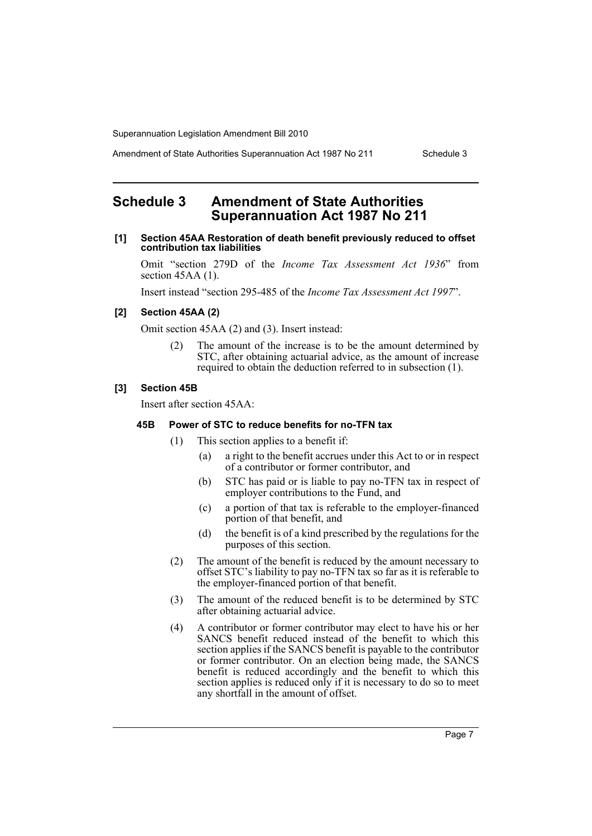Amendment of State Authorities Superannuation Act 1987 No 211 Schedule 3

# <span id="page-7-0"></span>**Schedule 3 Amendment of State Authorities Superannuation Act 1987 No 211**

### **[1] Section 45AA Restoration of death benefit previously reduced to offset contribution tax liabilities**

Omit "section 279D of the *Income Tax Assessment Act 1936*" from section 45AA (1).

Insert instead "section 295-485 of the *Income Tax Assessment Act 1997*".

# **[2] Section 45AA (2)**

Omit section 45AA (2) and (3). Insert instead:

(2) The amount of the increase is to be the amount determined by STC, after obtaining actuarial advice, as the amount of increase required to obtain the deduction referred to in subsection (1).

# **[3] Section 45B**

Insert after section 45AA:

## **45B Power of STC to reduce benefits for no-TFN tax**

- (1) This section applies to a benefit if:
	- (a) a right to the benefit accrues under this Act to or in respect of a contributor or former contributor, and
	- (b) STC has paid or is liable to pay no-TFN tax in respect of employer contributions to the Fund, and
	- (c) a portion of that tax is referable to the employer-financed portion of that benefit, and
	- (d) the benefit is of a kind prescribed by the regulations for the purposes of this section.
- (2) The amount of the benefit is reduced by the amount necessary to offset STC's liability to pay no-TFN tax so far as it is referable to the employer-financed portion of that benefit.
- (3) The amount of the reduced benefit is to be determined by STC after obtaining actuarial advice.
- (4) A contributor or former contributor may elect to have his or her SANCS benefit reduced instead of the benefit to which this section applies if the SANCS benefit is payable to the contributor or former contributor. On an election being made, the SANCS benefit is reduced accordingly and the benefit to which this section applies is reduced only if it is necessary to do so to meet any shortfall in the amount of offset.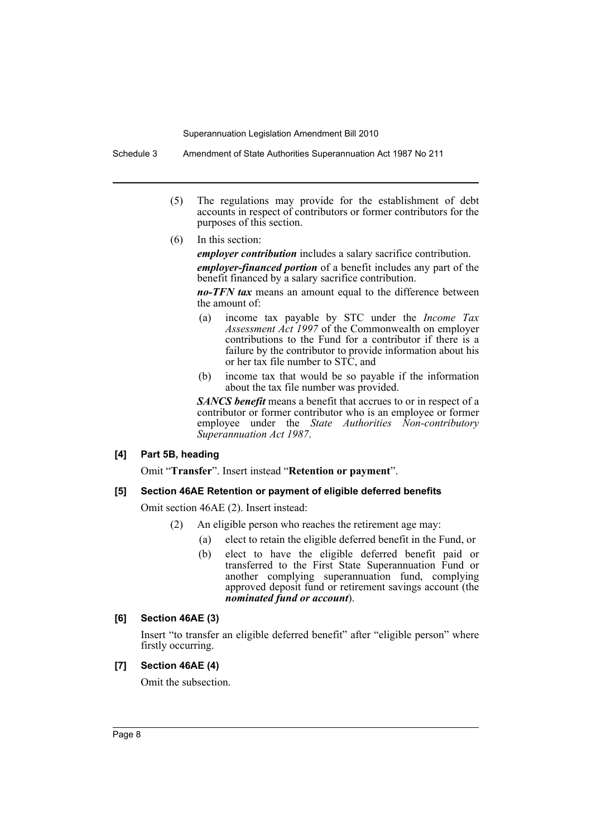Schedule 3 Amendment of State Authorities Superannuation Act 1987 No 211

- (5) The regulations may provide for the establishment of debt accounts in respect of contributors or former contributors for the purposes of this section.
- (6) In this section:

*employer contribution* includes a salary sacrifice contribution.

*employer-financed portion* of a benefit includes any part of the benefit financed by a salary sacrifice contribution.

*no-TFN tax* means an amount equal to the difference between the amount of:

- (a) income tax payable by STC under the *Income Tax Assessment Act 1997* of the Commonwealth on employer contributions to the Fund for a contributor if there is a failure by the contributor to provide information about his or her tax file number to STC, and
- (b) income tax that would be so payable if the information about the tax file number was provided.

*SANCS benefit* means a benefit that accrues to or in respect of a contributor or former contributor who is an employee or former employee under the *State Authorities Non-contributory Superannuation Act 1987*.

## **[4] Part 5B, heading**

Omit "**Transfer**". Insert instead "**Retention or payment**".

# **[5] Section 46AE Retention or payment of eligible deferred benefits**

Omit section 46AE (2). Insert instead:

- (2) An eligible person who reaches the retirement age may:
	- (a) elect to retain the eligible deferred benefit in the Fund, or
		- (b) elect to have the eligible deferred benefit paid or transferred to the First State Superannuation Fund or another complying superannuation fund, complying approved deposit fund or retirement savings account (the *nominated fund or account*).

# **[6] Section 46AE (3)**

Insert "to transfer an eligible deferred benefit" after "eligible person" where firstly occurring.

# **[7] Section 46AE (4)**

Omit the subsection.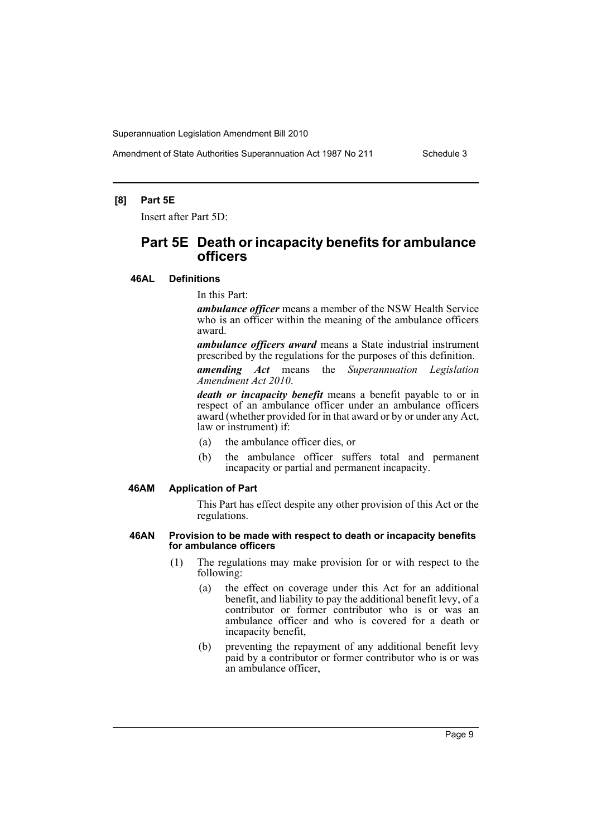Amendment of State Authorities Superannuation Act 1987 No 211 Schedule 3

## **[8] Part 5E**

Insert after Part 5D:

# **Part 5E Death or incapacity benefits for ambulance officers**

**46AL Definitions**

In this Part:

*ambulance officer* means a member of the NSW Health Service who is an officer within the meaning of the ambulance officers award.

*ambulance officers award* means a State industrial instrument prescribed by the regulations for the purposes of this definition.

*amending Act* means the *Superannuation Legislation Amendment Act 2010*.

*death or incapacity benefit* means a benefit payable to or in respect of an ambulance officer under an ambulance officers award (whether provided for in that award or by or under any Act, law or instrument) if:

- (a) the ambulance officer dies, or
- (b) the ambulance officer suffers total and permanent incapacity or partial and permanent incapacity.

## **46AM Application of Part**

This Part has effect despite any other provision of this Act or the regulations.

#### **46AN Provision to be made with respect to death or incapacity benefits for ambulance officers**

- (1) The regulations may make provision for or with respect to the following:
	- (a) the effect on coverage under this Act for an additional benefit, and liability to pay the additional benefit levy, of a contributor or former contributor who is or was an ambulance officer and who is covered for a death or incapacity benefit,
	- (b) preventing the repayment of any additional benefit levy paid by a contributor or former contributor who is or was an ambulance officer,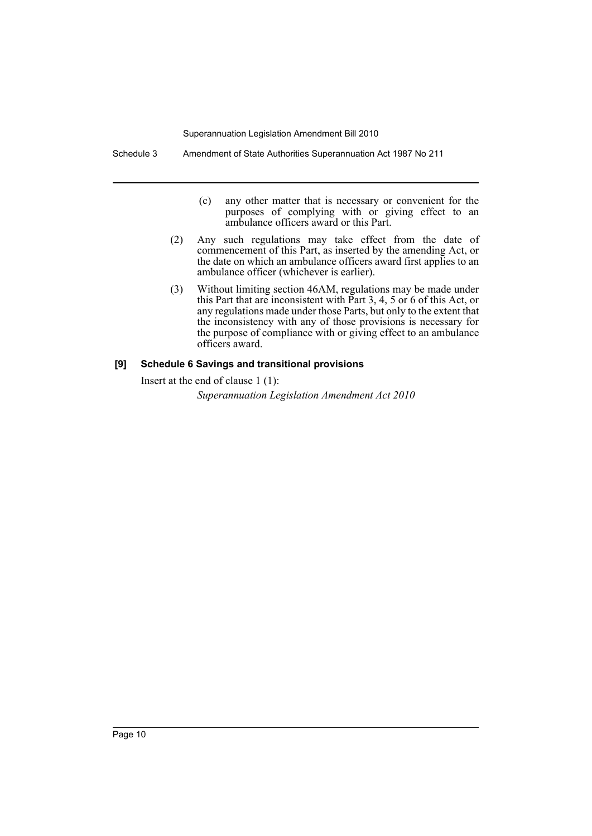Schedule 3 Amendment of State Authorities Superannuation Act 1987 No 211

- (c) any other matter that is necessary or convenient for the purposes of complying with or giving effect to an ambulance officers award or this Part.
- (2) Any such regulations may take effect from the date of commencement of this Part, as inserted by the amending Act, or the date on which an ambulance officers award first applies to an ambulance officer (whichever is earlier).
- (3) Without limiting section 46AM, regulations may be made under this Part that are inconsistent with Part 3, 4, 5 or 6 of this Act, or any regulations made under those Parts, but only to the extent that the inconsistency with any of those provisions is necessary for the purpose of compliance with or giving effect to an ambulance officers award.

# **[9] Schedule 6 Savings and transitional provisions**

Insert at the end of clause 1 (1):

*Superannuation Legislation Amendment Act 2010*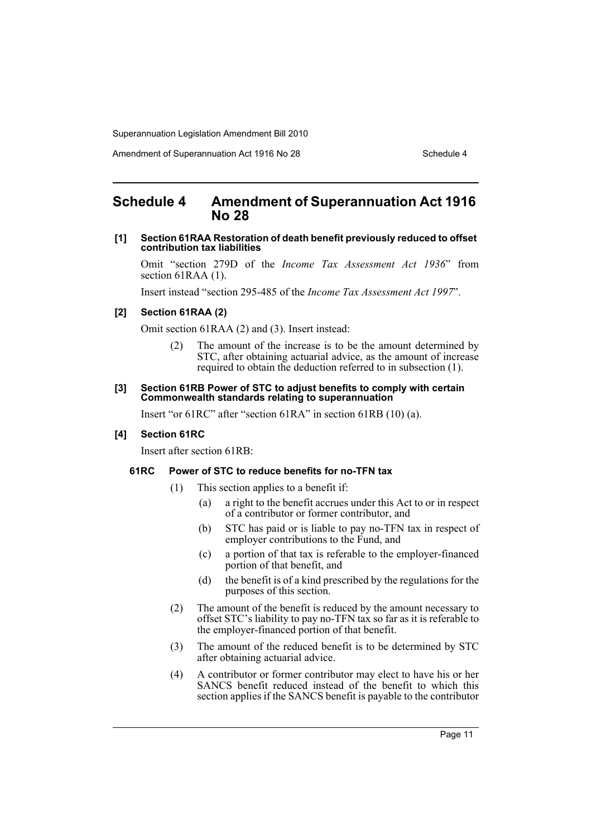Amendment of Superannuation Act 1916 No 28 Schedule 4

# <span id="page-11-0"></span>**Schedule 4 Amendment of Superannuation Act 1916 No 28**

## **[1] Section 61RAA Restoration of death benefit previously reduced to offset contribution tax liabilities**

Omit "section 279D of the *Income Tax Assessment Act 1936*" from section 61RAA (1).

Insert instead "section 295-485 of the *Income Tax Assessment Act 1997*".

# **[2] Section 61RAA (2)**

Omit section 61RAA (2) and (3). Insert instead:

(2) The amount of the increase is to be the amount determined by STC, after obtaining actuarial advice, as the amount of increase required to obtain the deduction referred to in subsection (1).

#### **[3] Section 61RB Power of STC to adjust benefits to comply with certain Commonwealth standards relating to superannuation**

Insert "or 61RC" after "section 61RA" in section 61RB (10) (a).

### **[4] Section 61RC**

Insert after section 61RB:

## **61RC Power of STC to reduce benefits for no-TFN tax**

- (1) This section applies to a benefit if:
	- (a) a right to the benefit accrues under this Act to or in respect of a contributor or former contributor, and
	- (b) STC has paid or is liable to pay no-TFN tax in respect of employer contributions to the Fund, and
	- (c) a portion of that tax is referable to the employer-financed portion of that benefit, and
	- (d) the benefit is of a kind prescribed by the regulations for the purposes of this section.
- (2) The amount of the benefit is reduced by the amount necessary to offset STC's liability to pay no-TFN tax so far as it is referable to the employer-financed portion of that benefit.
- (3) The amount of the reduced benefit is to be determined by STC after obtaining actuarial advice.
- (4) A contributor or former contributor may elect to have his or her SANCS benefit reduced instead of the benefit to which this section applies if the SANCS benefit is payable to the contributor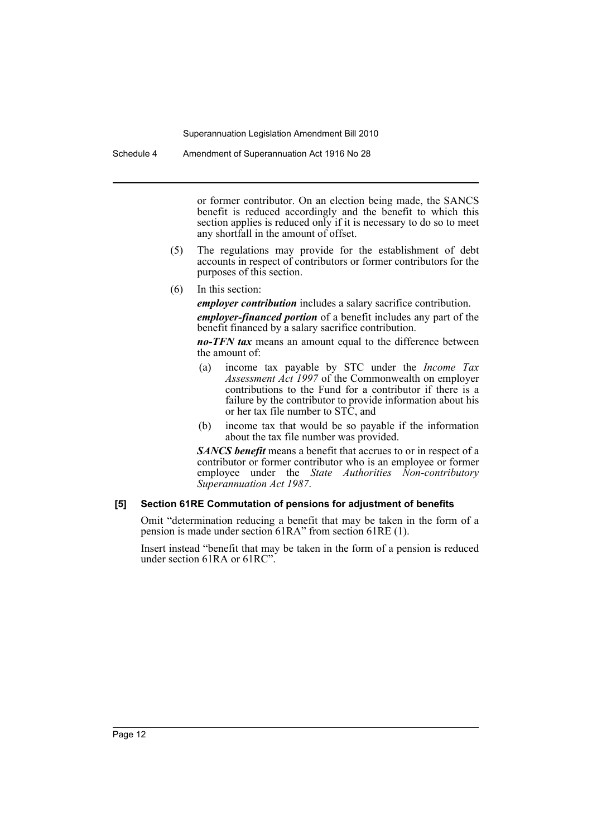Schedule 4 Amendment of Superannuation Act 1916 No 28

or former contributor. On an election being made, the SANCS benefit is reduced accordingly and the benefit to which this section applies is reduced only if it is necessary to do so to meet any shortfall in the amount of offset.

- (5) The regulations may provide for the establishment of debt accounts in respect of contributors or former contributors for the purposes of this section.
- (6) In this section:

*employer contribution* includes a salary sacrifice contribution.

*employer-financed portion* of a benefit includes any part of the benefit financed by a salary sacrifice contribution.

*no-TFN tax* means an amount equal to the difference between the amount of:

- (a) income tax payable by STC under the *Income Tax Assessment Act 1997* of the Commonwealth on employer contributions to the Fund for a contributor if there is a failure by the contributor to provide information about his or her tax file number to STC, and
- (b) income tax that would be so payable if the information about the tax file number was provided.

*SANCS benefit* means a benefit that accrues to or in respect of a contributor or former contributor who is an employee or former employee under the *State Authorities Non-contributory Superannuation Act 1987*.

# **[5] Section 61RE Commutation of pensions for adjustment of benefits**

Omit "determination reducing a benefit that may be taken in the form of a pension is made under section 61RA" from section 61RE (1).

Insert instead "benefit that may be taken in the form of a pension is reduced under section 61RA or 61RC".